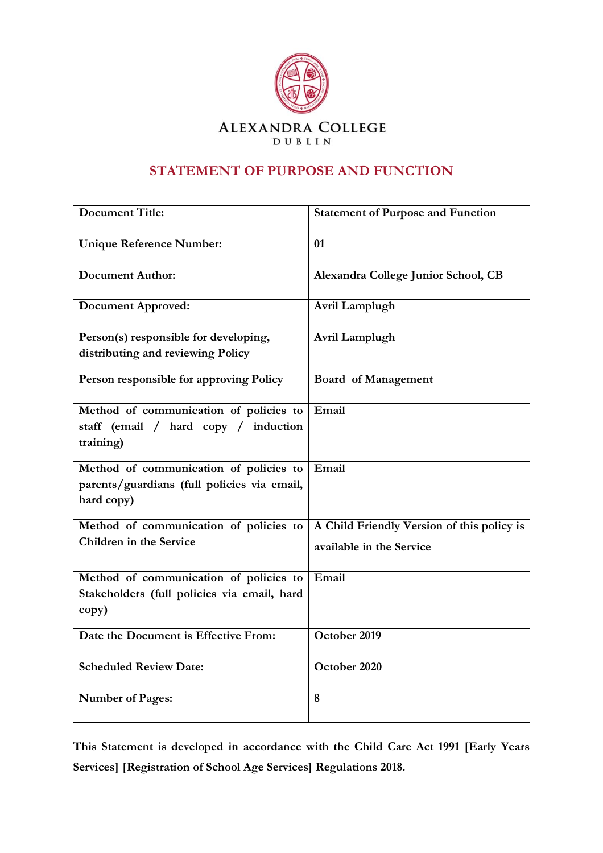

## **STATEMENT OF PURPOSE AND FUNCTION**

| <b>Document Title:</b>                                                                              | <b>Statement of Purpose and Function</b>   |
|-----------------------------------------------------------------------------------------------------|--------------------------------------------|
| <b>Unique Reference Number:</b>                                                                     | 01                                         |
| <b>Document Author:</b>                                                                             | Alexandra College Junior School, CB        |
| <b>Document Approved:</b>                                                                           | Avril Lamplugh                             |
| Person(s) responsible for developing,                                                               | Avril Lamplugh                             |
| distributing and reviewing Policy                                                                   |                                            |
| Person responsible for approving Policy                                                             | <b>Board of Management</b>                 |
| Method of communication of policies to<br>staff (email / hard copy / induction<br>training)         | Email                                      |
| Method of communication of policies to<br>parents/guardians (full policies via email,<br>hard copy) | Email                                      |
| Method of communication of policies to                                                              | A Child Friendly Version of this policy is |
| Children in the Service                                                                             | available in the Service                   |
| Method of communication of policies to                                                              | Email                                      |
| Stakeholders (full policies via email, hard                                                         |                                            |
| copy)                                                                                               |                                            |
| Date the Document is Effective From:                                                                | October 2019                               |
| <b>Scheduled Review Date:</b>                                                                       | October 2020                               |
| Number of Pages:                                                                                    | 8                                          |

**This Statement is developed in accordance with the Child Care Act 1991 [Early Years Services] [Registration of School Age Services] Regulations 2018.**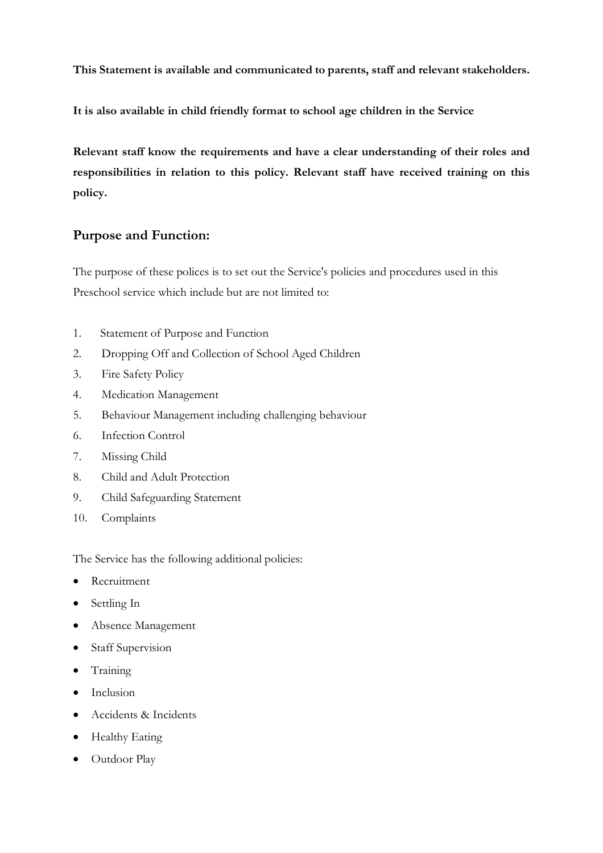**This Statement is available and communicated to parents, staff and relevant stakeholders.**

**It is also available in child friendly format to school age children in the Service**

**Relevant staff know the requirements and have a clear understanding of their roles and responsibilities in relation to this policy. Relevant staff have received training on this policy.** 

## **Purpose and Function:**

The purpose of these polices is to set out the Service's policies and procedures used in this Preschool service which include but are not limited to:

- 1. Statement of Purpose and Function
- 2. Dropping Off and Collection of School Aged Children
- 3. Fire Safety Policy
- 4. Medication Management
- 5. Behaviour Management including challenging behaviour
- 6. Infection Control
- 7. Missing Child
- 8. Child and Adult Protection
- 9. Child Safeguarding Statement
- 10. Complaints

The Service has the following additional policies:

- Recruitment
- Settling In
- Absence Management
- Staff Supervision
- Training
- Inclusion
- Accidents & Incidents
- Healthy Eating
- Outdoor Play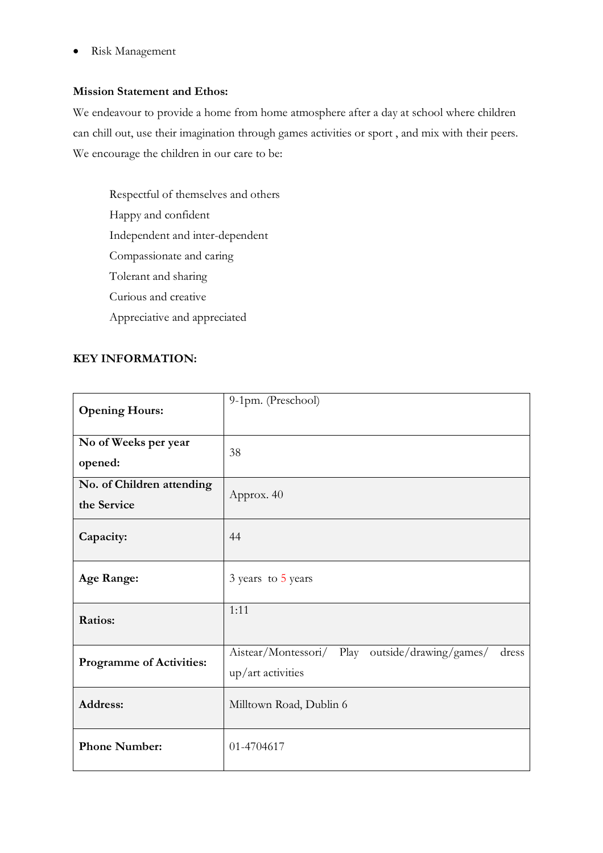• Risk Management

#### **Mission Statement and Ethos:**

We endeavour to provide a home from home atmosphere after a day at school where children can chill out, use their imagination through games activities or sport , and mix with their peers. We encourage the children in our care to be:

Respectful of themselves and others Happy and confident Independent and inter-dependent Compassionate and caring Tolerant and sharing Curious and creative Appreciative and appreciated

#### **KEY INFORMATION:**

| <b>Opening Hours:</b>                    | 9-1pm. (Preschool)                                                                  |
|------------------------------------------|-------------------------------------------------------------------------------------|
| No of Weeks per year<br>opened:          | 38                                                                                  |
| No. of Children attending<br>the Service | Approx. 40                                                                          |
| Capacity:                                | 44                                                                                  |
| <b>Age Range:</b>                        | 3 years to 5 years                                                                  |
| Ratios:                                  | 1:11                                                                                |
| <b>Programme of Activities:</b>          | Play outside/drawing/games/<br>Aistear/Montessori/<br>dress<br>$up/$ art activities |
| Address:                                 | Milltown Road, Dublin 6                                                             |
| <b>Phone Number:</b>                     | 01-4704617                                                                          |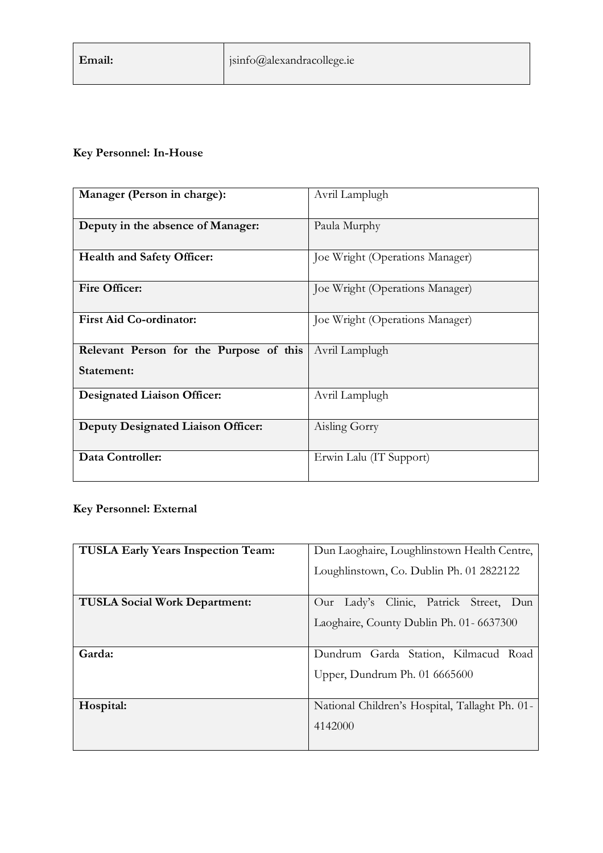# **Key Personnel: In-House**

| Manager (Person in charge):                           | Avril Lamplugh                  |
|-------------------------------------------------------|---------------------------------|
| Deputy in the absence of Manager:                     | Paula Murphy                    |
| <b>Health and Safety Officer:</b>                     | Joe Wright (Operations Manager) |
| Fire Officer:                                         | Joe Wright (Operations Manager) |
| <b>First Aid Co-ordinator:</b>                        | Joe Wright (Operations Manager) |
| Relevant Person for the Purpose of this<br>Statement: | Avril Lamplugh                  |
| <b>Designated Liaison Officer:</b>                    | Avril Lamplugh                  |
| <b>Deputy Designated Liaison Officer:</b>             | Aisling Gorry                   |
| Data Controller:                                      | Erwin Lalu (IT Support)         |

# **Key Personnel: External**

| <b>TUSLA Early Years Inspection Team:</b> | Dun Laoghaire, Loughlinstown Health Centre,    |
|-------------------------------------------|------------------------------------------------|
|                                           | Loughlinstown, Co. Dublin Ph. 01 2822122       |
| <b>TUSLA Social Work Department:</b>      | Our Lady's Clinic, Patrick Street,<br>- Dun    |
|                                           | Laoghaire, County Dublin Ph. 01 - 6637300      |
| Garda:                                    | Dundrum Garda Station, Kilmacud Road           |
|                                           | Upper, Dundrum Ph. 01 6665600                  |
| Hospital:                                 | National Children's Hospital, Tallaght Ph. 01- |
|                                           | 4142000                                        |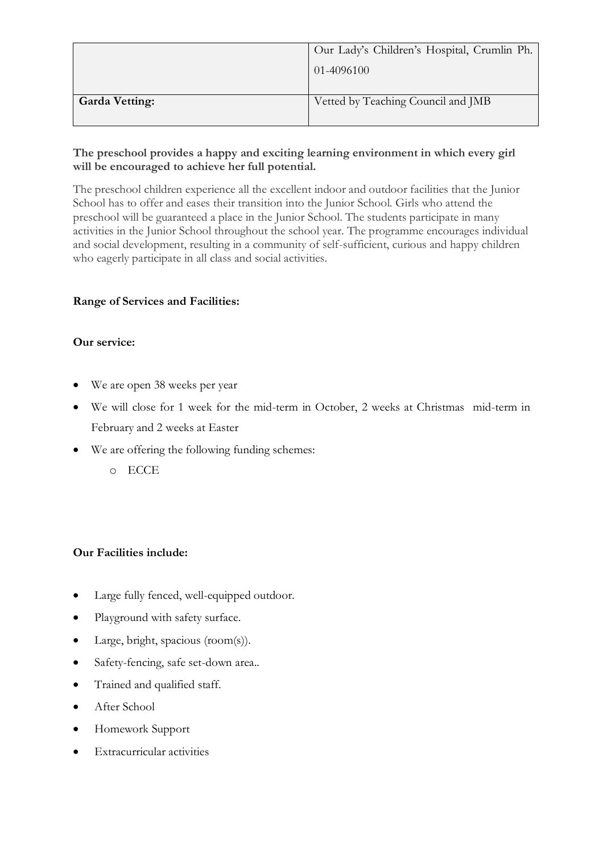|                       | Our Lady's Children's Hospital, Crumlin Ph. |
|-----------------------|---------------------------------------------|
|                       | 01-4096100                                  |
|                       |                                             |
| <b>Garda Vetting:</b> | Vetted by Teaching Council and JMB          |
|                       |                                             |

## **The preschool provides a happy and exciting learning environment in which every girl will be encouraged to achieve her full potential.**

The preschool children experience all the excellent indoor and outdoor facilities that the Junior School has to offer and eases their transition into the Junior School. Girls who attend the preschool will be guaranteed a place in the Junior School. The students participate in many activities in the Junior School throughout the school year. The programme encourages individual and social development, resulting in a community of self-sufficient, curious and happy children who eagerly participate in all class and social activities.

## **Range of Services and Facilities:**

#### **Our service:**

- We are open 38 weeks per year
- We will close for 1 week for the mid-term in October, 2 weeks at Christmas mid-term in February and 2 weeks at Easter
- We are offering the following funding schemes:
	- o ECCE

#### **Our Facilities include:**

- Large fully fenced, well-equipped outdoor.
- Playground with safety surface.
- Large, bright, spacious (room(s)).
- Safety-fencing, safe set-down area...
- Trained and qualified staff.
- After School
- Homework Support
- Extracurricular activities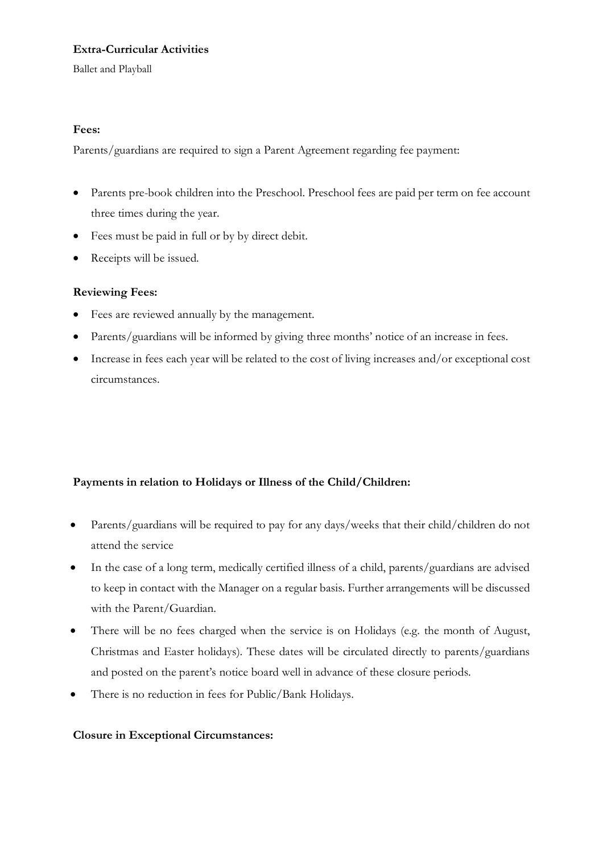## **Extra-Curricular Activities**

Ballet and Playball

#### **Fees:**

Parents/guardians are required to sign a Parent Agreement regarding fee payment:

- Parents pre-book children into the Preschool. Preschool fees are paid per term on fee account three times during the year.
- Fees must be paid in full or by by direct debit.
- Receipts will be issued.

#### **Reviewing Fees:**

- Fees are reviewed annually by the management.
- Parents/guardians will be informed by giving three months' notice of an increase in fees.
- Increase in fees each year will be related to the cost of living increases and/or exceptional cost circumstances.

## **Payments in relation to Holidays or Illness of the Child/Children:**

- Parents/guardians will be required to pay for any days/weeks that their child/children do not attend the service
- In the case of a long term, medically certified illness of a child, parents/guardians are advised to keep in contact with the Manager on a regular basis. Further arrangements will be discussed with the Parent/Guardian.
- There will be no fees charged when the service is on Holidays (e.g. the month of August, Christmas and Easter holidays). These dates will be circulated directly to parents/guardians and posted on the parent's notice board well in advance of these closure periods.
- There is no reduction in fees for Public/Bank Holidays.

#### **Closure in Exceptional Circumstances:**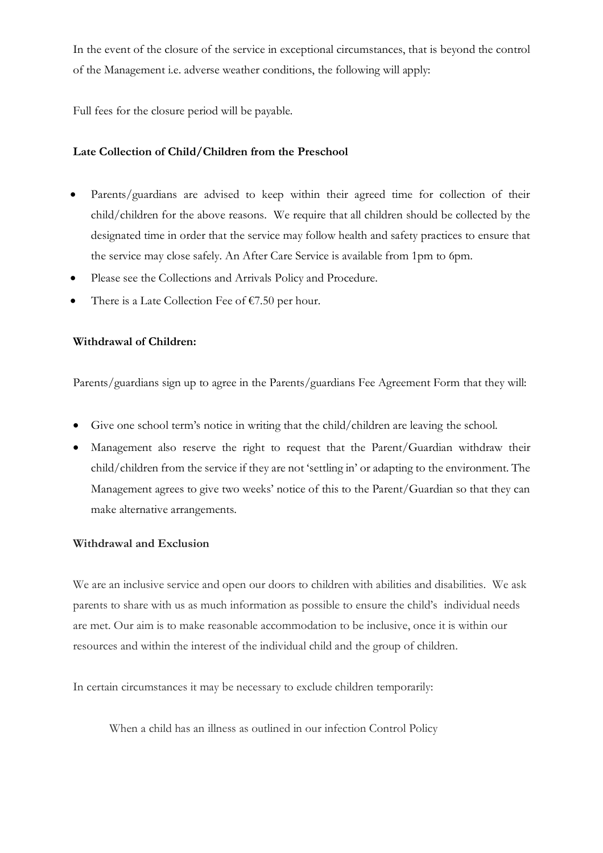In the event of the closure of the service in exceptional circumstances, that is beyond the control of the Management i.e. adverse weather conditions, the following will apply:

Full fees for the closure period will be payable.

#### **Late Collection of Child/Children from the Preschool**

- Parents/guardians are advised to keep within their agreed time for collection of their child/children for the above reasons. We require that all children should be collected by the designated time in order that the service may follow health and safety practices to ensure that the service may close safely. An After Care Service is available from 1pm to 6pm.
- Please see the Collections and Arrivals Policy and Procedure.
- There is a Late Collection Fee of  $\epsilon$ 7.50 per hour.

#### **Withdrawal of Children:**

Parents/guardians sign up to agree in the Parents/guardians Fee Agreement Form that they will:

- Give one school term's notice in writing that the child/children are leaving the school.
- Management also reserve the right to request that the Parent/Guardian withdraw their child/children from the service if they are not 'settling in' or adapting to the environment. The Management agrees to give two weeks' notice of this to the Parent/Guardian so that they can make alternative arrangements.

#### **Withdrawal and Exclusion**

We are an inclusive service and open our doors to children with abilities and disabilities. We ask parents to share with us as much information as possible to ensure the child's individual needs are met. Our aim is to make reasonable accommodation to be inclusive, once it is within our resources and within the interest of the individual child and the group of children.

In certain circumstances it may be necessary to exclude children temporarily:

When a child has an illness as outlined in our infection Control Policy